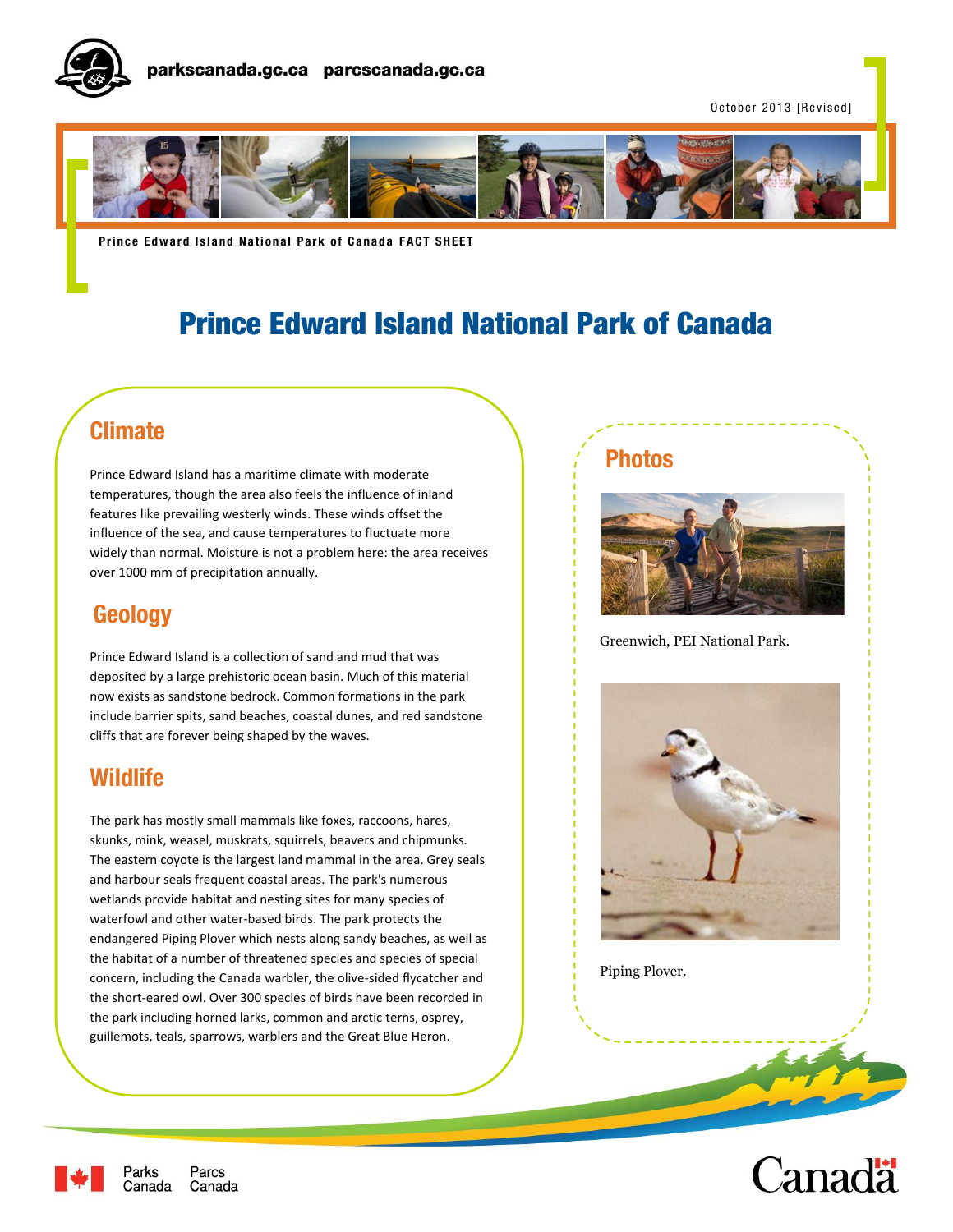

October 2013 [Revised]



**Prince Edward Island National Park of Canada FACT SHEET** 

# Prince Edward Island National Park of Canada

## **Climate**

Prince Edward Island has a maritime climate with moderate temperatures, though the area also feels the influence of inland features like prevailing westerly winds. These winds offset the influence of the sea, and cause temperatures to fluctuate more widely than normal. Moisture is not a problem here: the area receives over 1000 mm of precipitation annually.

## **Geology**

Prince Edward Island is a collection of sand and mud that was deposited by a large prehistoric ocean basin. Much of this material now exists as sandstone bedrock. Common formations in the park include barrier spits, sand beaches, coastal dunes, and red sandstone cliffs that are forever being shaped by the waves.

## **Wildlife**

The park has mostly small mammals like foxes, raccoons, hares, skunks, mink, weasel, muskrats, squirrels, beavers and chipmunks. The eastern coyote is the largest land mammal in the area. Grey seals and harbour seals frequent coastal areas. The park's numerous wetlands provide habitat and nesting sites for many species of waterfowl and other water-based birds. The park protects the endangered Piping Plover which nests along sandy beaches, as well as the habitat of a number of threatened species and species of special concern, including the Canada warbler, the olive-sided flycatcher and the short-eared owl. Over 300 species of birds have been recorded in the park including horned larks, common and arctic terns, osprey, guillemots, teals, sparrows, warblers and the Great Blue Heron.

### **Photos**



Greenwich, PEI National Park.



Piping Plover.